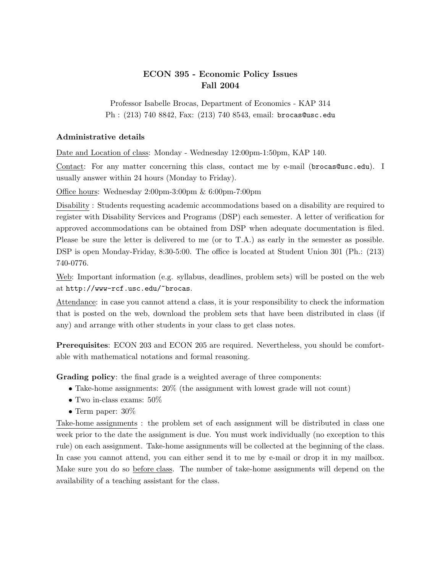## ECON 395 - Economic Policy Issues Fall 2004

Professor Isabelle Brocas, Department of Economics - KAP 314 Ph : (213) 740 8842, Fax: (213) 740 8543, email: brocas@usc.edu

## Administrative details

Date and Location of class: Monday - Wednesday 12:00pm-1:50pm, KAP 140.

Contact: For any matter concerning this class, contact me by e-mail (brocas@usc.edu). I usually answer within 24 hours (Monday to Friday).

Office hours: Wednesday 2:00pm-3:00pm & 6:00pm-7:00pm

Disability : Students requesting academic accommodations based on a disability are required to register with Disability Services and Programs (DSP) each semester. A letter of verification for approved accommodations can be obtained from DSP when adequate documentation is filed. Please be sure the letter is delivered to me (or to T.A.) as early in the semester as possible. DSP is open Monday-Friday, 8:30-5:00. The office is located at Student Union 301 (Ph.: (213) 740-0776.

Web: Important information (e.g. syllabus, deadlines, problem sets) will be posted on the web at http://www-rcf.usc.edu/~brocas.

Attendance: in case you cannot attend a class, it is your responsibility to check the information that is posted on the web, download the problem sets that have been distributed in class (if any) and arrange with other students in your class to get class notes.

Prerequisites: ECON 203 and ECON 205 are required. Nevertheless, you should be comfortable with mathematical notations and formal reasoning.

Grading policy: the final grade is a weighted average of three components:

- Take-home assignments: 20% (the assignment with lowest grade will not count)
- Two in-class exams: 50%
- Term paper:  $30\%$

Take-home assignments : the problem set of each assignment will be distributed in class one week prior to the date the assignment is due. You must work individually (no exception to this rule) on each assignment. Take-home assignments will be collected at the beginning of the class. In case you cannot attend, you can either send it to me by e-mail or drop it in my mailbox. Make sure you do so before class. The number of take-home assignments will depend on the availability of a teaching assistant for the class.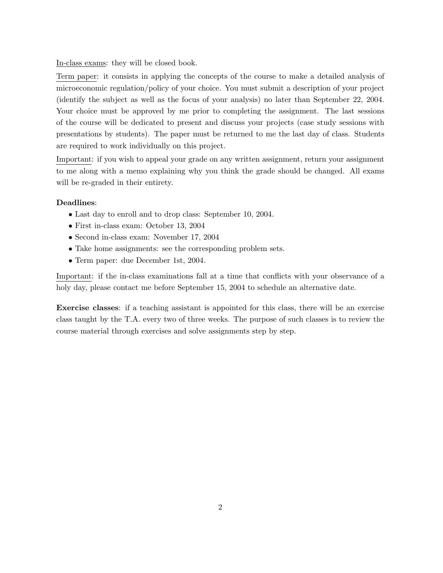In-class exams: they will be closed book.

Term paper: it consists in applying the concepts of the course to make a detailed analysis of microeconomic regulation/policy of your choice. You must submit a description of your project (identify the subject as well as the focus of your analysis) no later than September 22, 2004. Your choice must be approved by me prior to completing the assignment. The last sessions of the course will be dedicated to present and discuss your projects (case study sessions with presentations by students). The paper must be returned to me the last day of class. Students are required to work individually on this project.

Important: if you wish to appeal your grade on any written assignment, return your assignment to me along with a memo explaining why you think the grade should be changed. All exams will be re-graded in their entirety.

## Deadlines:

- Last day to enroll and to drop class: September 10, 2004.
- First in-class exam: October 13, 2004
- Second in-class exam: November 17, 2004
- Take home assignments: see the corresponding problem sets.
- Term paper: due December 1st, 2004.

Important: if the in-class examinations fall at a time that conflicts with your observance of a holy day, please contact me before September 15, 2004 to schedule an alternative date.

Exercise classes: if a teaching assistant is appointed for this class, there will be an exercise class taught by the T.A. every two of three weeks. The purpose of such classes is to review the course material through exercises and solve assignments step by step.